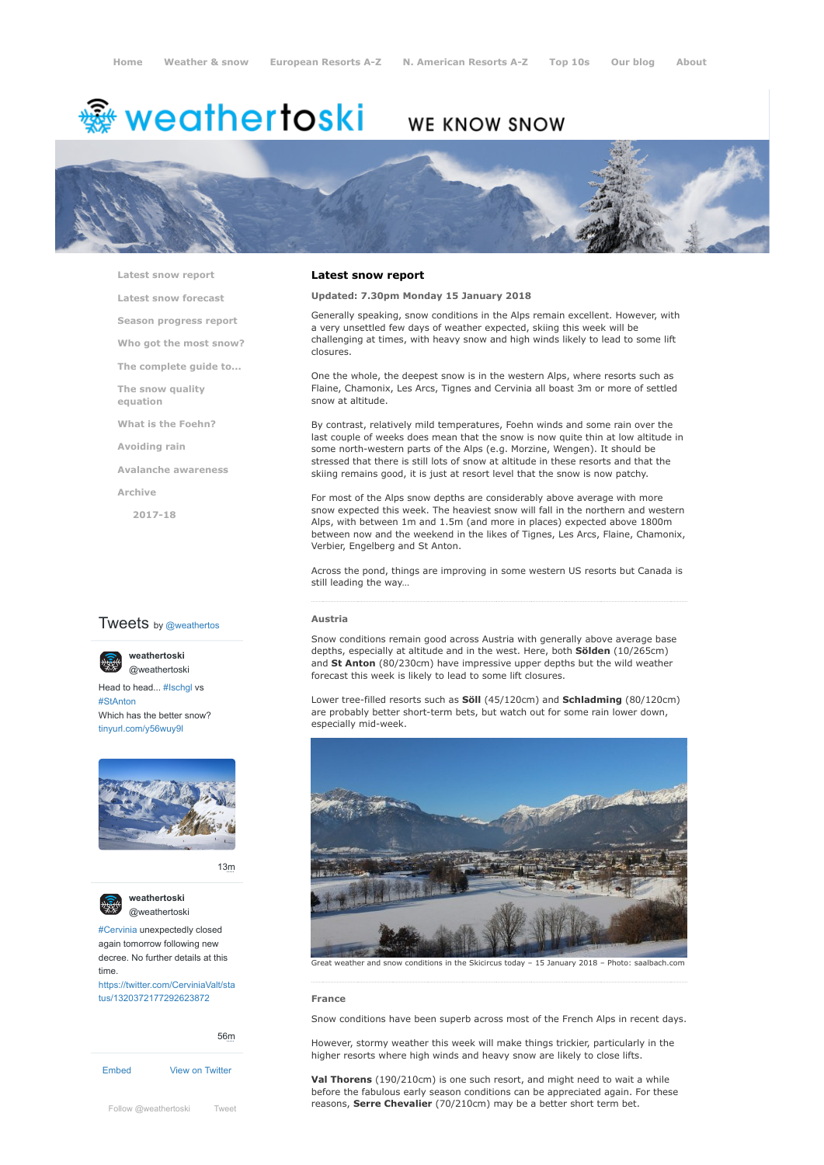# <del>鑾</del> weathertoski

# WE KNOW SNOW



**[Latest snow report](https://www.weathertoski.co.uk/weather-snow/latest-snow-report/)**

**[Latest snow forecast](https://www.weathertoski.co.uk/weather-snow/latest-snow-forecast/)**

**[Season progress report](https://www.weathertoski.co.uk/weather-snow/season-progress-report/)**

**[Who got the most snow?](https://www.weathertoski.co.uk/weather-snow/who-got-the-most-snow/)**

**[The complete guide to...](https://www.weathertoski.co.uk/weather-snow/the-complete-guide-to/)**

**[The snow quality](https://www.weathertoski.co.uk/weather-snow/the-snow-quality-equation/) equation**

**[What is the Foehn?](https://www.weathertoski.co.uk/weather-snow/what-is-the-foehn/)**

**[Avoiding rain](https://www.weathertoski.co.uk/weather-snow/avoiding-rain/)**

**[Avalanche awareness](https://www.weathertoski.co.uk/weather-snow/avalanche-awareness/)**

**[Archive](https://www.weathertoski.co.uk/weather-snow/archive/)**

**[2017-18](https://www.weathertoski.co.uk/weather-snow/archive/2017-18/)**

# **Tweets** by @weathertos

**weathertoski**



Head to head... [#Ischgl](https://twitter.com/hashtag/Ischgl?src=hash) vs [#StAnton](https://twitter.com/hashtag/StAnton?src=hash) Which has the better snow? [tinyurl.com/y56wuy9l](https://t.co/AeKkyB0N9S)



[13m](https://twitter.com/weathertoski/status/1320387692862050304)



**weathertoski** [@weathertoski](https://twitter.com/weathertoski)

[#Cervinia](https://twitter.com/hashtag/Cervinia?src=hash) unexpectedly closed again tomorrow following new decree. No further details at this time. [https://twitter.com/CerviniaValt/sta](https://twitter.com/CerviniaValt/status/1320372177292623872)

tus/1320372177292623872

[Embed](https://publish.twitter.com/?url=https%3A%2F%2Ftwitter.com%2Fweathertoski) [View on Twitter](https://twitter.com/weathertoski) [56m](https://twitter.com/weathertoski/status/1320376647305093126)

# **Latest snow report**

**Updated: 7.30pm Monday 15 January 2018**

Generally speaking, snow conditions in the Alps remain excellent. However, with a very unsettled few days of weather expected, skiing this week will be challenging at times, with heavy snow and high winds likely to lead to some lift closures.

One the whole, the deepest snow is in the western Alps, where resorts such as Flaine, Chamonix, Les Arcs, Tignes and Cervinia all boast 3m or more of settled snow at altitude.

By contrast, relatively mild temperatures, Foehn winds and some rain over the last couple of weeks does mean that the snow is now quite thin at low altitude in some north-western parts of the Alps (e.g. Morzine, Wengen). It should be stressed that there is still lots of snow at altitude in these resorts and that the skiing remains good, it is just at resort level that the snow is now patchy.

For most of the Alps snow depths are considerably above average with more snow expected this week. The heaviest snow will fall in the northern and western Alps, with between 1m and 1.5m (and more in places) expected above 1800m between now and the weekend in the likes of Tignes, Les Arcs, Flaine, Chamonix, Verbier, Engelberg and St Anton.

Across the pond, things are improving in some western US resorts but Canada is still leading the way…

#### **Austria**

Snow conditions remain good across Austria with generally above average base depths, especially at altitude and in the west. Here, both **Sölden** (10/265cm) and **St Anton** (80/230cm) have impressive upper depths but the wild weather forecast this week is likely to lead to some lift closures.

Lower tree-filled resorts such as **Söll** (45/120cm) and **Schladming** (80/120cm) are probably better short-term bets, but watch out for some rain lower down, especially mid-week.



Great weather and snow conditions in the Skicircus today – 15 January 2018 – Photo: saalbach.com

# **France**

Snow conditions have been superb across most of the French Alps in recent days.

However, stormy weather this week will make things trickier, particularly in the higher resorts where high winds and heavy snow are likely to close lifts.

**Val Thorens** (190/210cm) is one such resort, and might need to wait a while before the fabulous early season conditions can be appreciated again. For these [Follow @weathertoski](https://twitter.com/intent/follow?original_referer=https%3A%2F%2Fwww.weathertoski.co.uk%2F&ref_src=twsrc%5Etfw®ion=follow_link&screen_name=weathertoski&tw_p=followbutton) [Tweet](https://twitter.com/intent/tweet?original_referer=https%3A%2F%2Fwww.weathertoski.co.uk%2F&ref_src=twsrc%5Etfw&text=Weather%20to%20ski%20-%20Snow%20report%20-%2015%20January%202018&tw_p=tweetbutton&url=https%3A%2F%2Fwww.weathertoski.co.uk%2Fweather-snow%2Farchive%2Fsnow-report-15-january-2018%2F) **Follow @weathertoski** Tweet **From Serre Chevalier** (70/210cm) may be a better short term bet.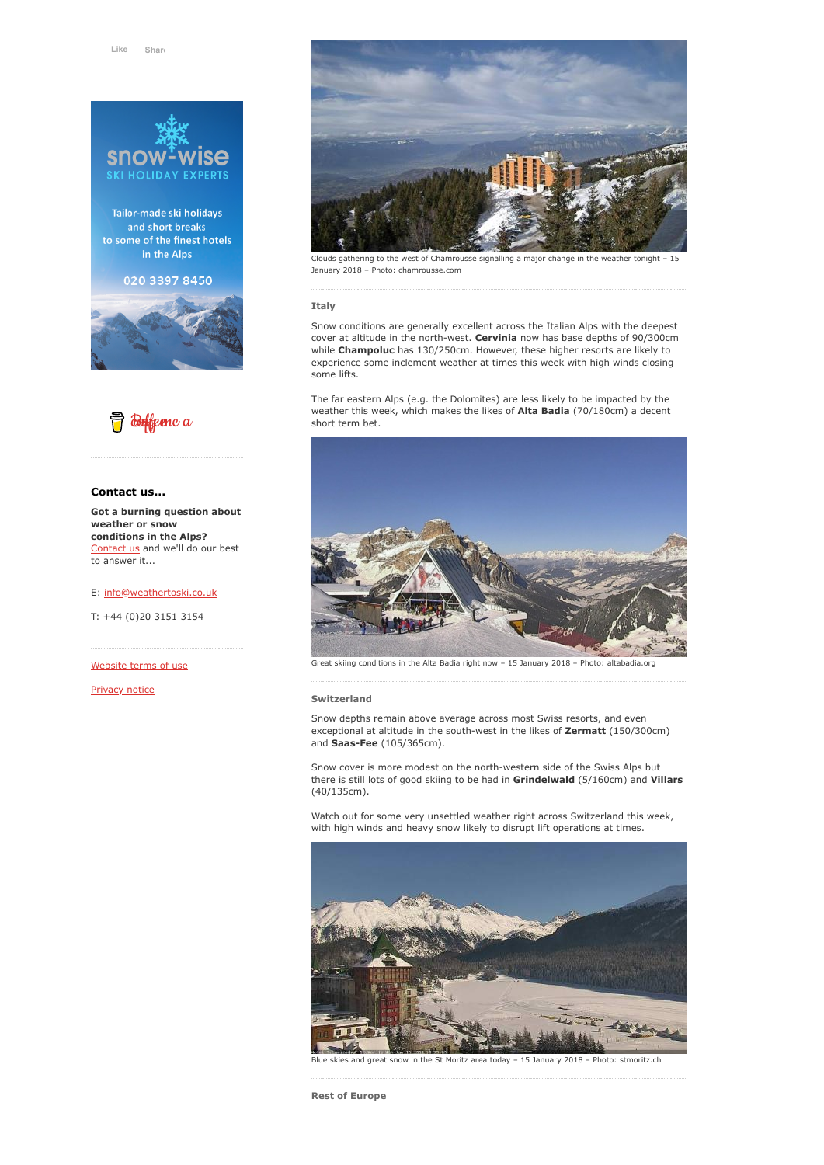

Tailor-made ski holidays and short breaks to some of the finest hotels in the Alps

020 3397 8450





# **Contact us...**

**Got a burning question about weather or snow conditions in the Alps?** [Contact us](https://www.weathertoski.co.uk/about-1/contact-us/) and we'll do our best to answer it...

E: [info@weathertoski.co.uk](mailto:fraser@weathertoski.co.uk)

T: +44 (0)20 3151 3154

[Website terms of use](https://www.weathertoski.co.uk/about-1/website-terms-of-use/)

[Privacy notice](https://www.weathertoski.co.uk/about-1/privacy-notice/)



Clouds gathering to the west of Chamrousse signalling a major change in the weather tonight – 15 January 2018 – Photo: chamrousse.com

## **Italy**

Snow conditions are generally excellent across the Italian Alps with the deepest cover at altitude in the north-west. **Cervinia** now has base depths of 90/300cm while **Champoluc** has 130/250cm. However, these higher resorts are likely to experience some inclement weather at times this week with high winds closing some lifts.

The far eastern Alps (e.g. the Dolomites) are less likely to be impacted by the weather this week, which makes the likes of **Alta Badia** (70/180cm) a decent short term bet.



Great skiing conditions in the Alta Badia right now - 15 January 2018 - Photo: altabadia.org

## **Switzerland**

Snow depths remain above average across most Swiss resorts, and even exceptional at altitude in the south-west in the likes of **Zermatt** (150/300cm) and **Saas-Fee** (105/365cm).

Snow cover is more modest on the north-western side of the Swiss Alps but there is still lots of good skiing to be had in **Grindelwald** (5/160cm) and **Villars** (40/135cm).

Watch out for some very unsettled weather right across Switzerland this week, with high winds and heavy snow likely to disrupt lift operations at times.



skies and great snow in the St Moritz area today – 15 January 2018 – Photo: stmoritz.ch

**Rest of Europe**